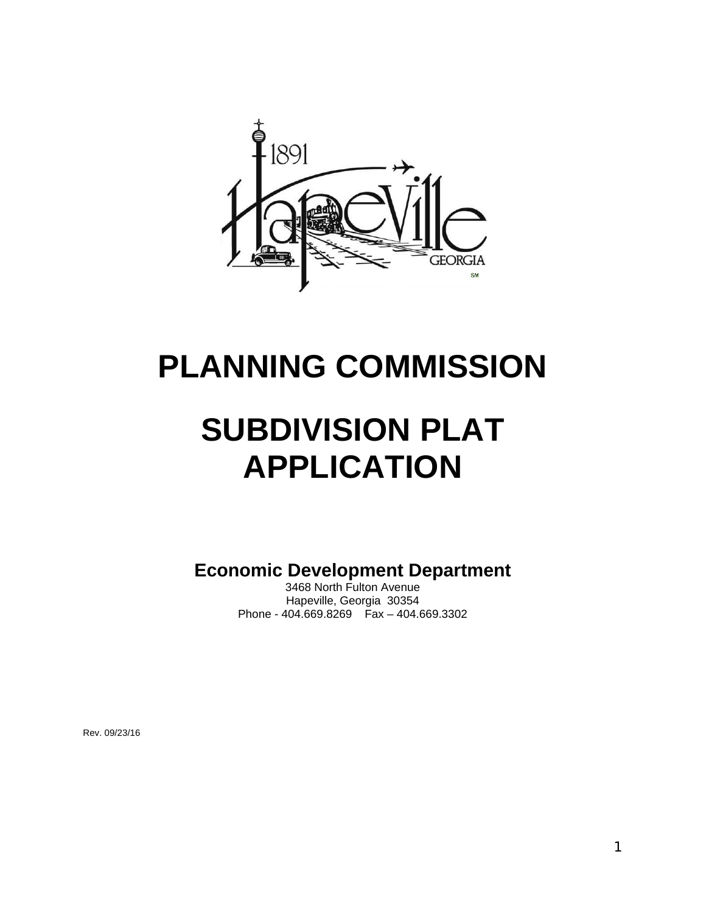

# **PLANNING COMMISSION**

# **SUBDIVISION PLAT APPLICATION**

**Economic Development Department** 

3468 North Fulton Avenue Hapeville, Georgia 30354 Phone - 404.669.8269 Fax – 404.669.3302

Rev. 09/23/16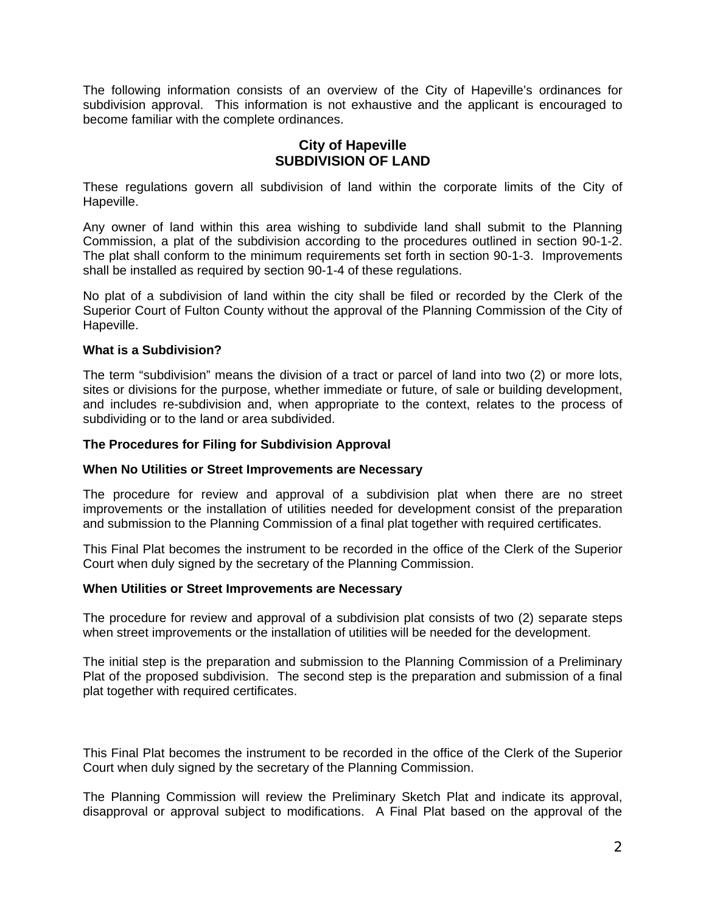The following information consists of an overview of the City of Hapeville's ordinances for subdivision approval. This information is not exhaustive and the applicant is encouraged to become familiar with the complete ordinances.

## **City of Hapeville SUBDIVISION OF LAND**

These regulations govern all subdivision of land within the corporate limits of the City of Hapeville.

Any owner of land within this area wishing to subdivide land shall submit to the Planning Commission, a plat of the subdivision according to the procedures outlined in section 90-1-2. The plat shall conform to the minimum requirements set forth in section 90-1-3. Improvements shall be installed as required by section 90-1-4 of these regulations.

No plat of a subdivision of land within the city shall be filed or recorded by the Clerk of the Superior Court of Fulton County without the approval of the Planning Commission of the City of Hapeville.

## **What is a Subdivision?**

The term "subdivision" means the division of a tract or parcel of land into two (2) or more lots, sites or divisions for the purpose, whether immediate or future, of sale or building development, and includes re-subdivision and, when appropriate to the context, relates to the process of subdividing or to the land or area subdivided.

## **The Procedures for Filing for Subdivision Approval**

#### **When No Utilities or Street Improvements are Necessary**

The procedure for review and approval of a subdivision plat when there are no street improvements or the installation of utilities needed for development consist of the preparation and submission to the Planning Commission of a final plat together with required certificates.

This Final Plat becomes the instrument to be recorded in the office of the Clerk of the Superior Court when duly signed by the secretary of the Planning Commission.

#### **When Utilities or Street Improvements are Necessary**

The procedure for review and approval of a subdivision plat consists of two (2) separate steps when street improvements or the installation of utilities will be needed for the development.

The initial step is the preparation and submission to the Planning Commission of a Preliminary Plat of the proposed subdivision. The second step is the preparation and submission of a final plat together with required certificates.

This Final Plat becomes the instrument to be recorded in the office of the Clerk of the Superior Court when duly signed by the secretary of the Planning Commission.

The Planning Commission will review the Preliminary Sketch Plat and indicate its approval, disapproval or approval subject to modifications. A Final Plat based on the approval of the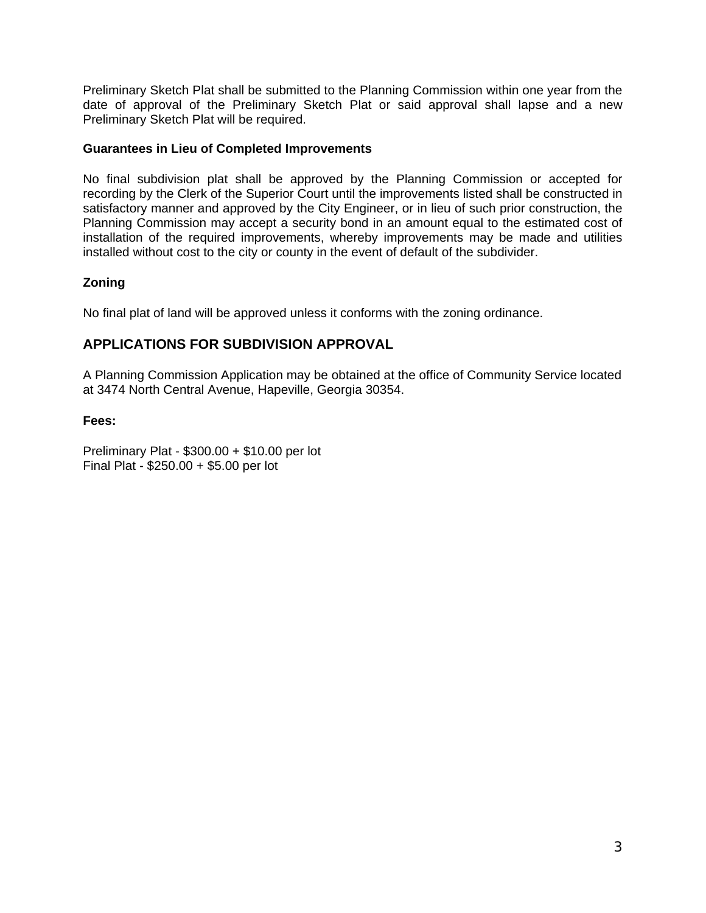Preliminary Sketch Plat shall be submitted to the Planning Commission within one year from the date of approval of the Preliminary Sketch Plat or said approval shall lapse and a new Preliminary Sketch Plat will be required.

## **Guarantees in Lieu of Completed Improvements**

No final subdivision plat shall be approved by the Planning Commission or accepted for recording by the Clerk of the Superior Court until the improvements listed shall be constructed in satisfactory manner and approved by the City Engineer, or in lieu of such prior construction, the Planning Commission may accept a security bond in an amount equal to the estimated cost of installation of the required improvements, whereby improvements may be made and utilities installed without cost to the city or county in the event of default of the subdivider.

# **Zoning**

No final plat of land will be approved unless it conforms with the zoning ordinance.

# **APPLICATIONS FOR SUBDIVISION APPROVAL**

A Planning Commission Application may be obtained at the office of Community Service located at 3474 North Central Avenue, Hapeville, Georgia 30354.

## **Fees:**

Preliminary Plat - \$300.00 + \$10.00 per lot Final Plat - \$250.00 + \$5.00 per lot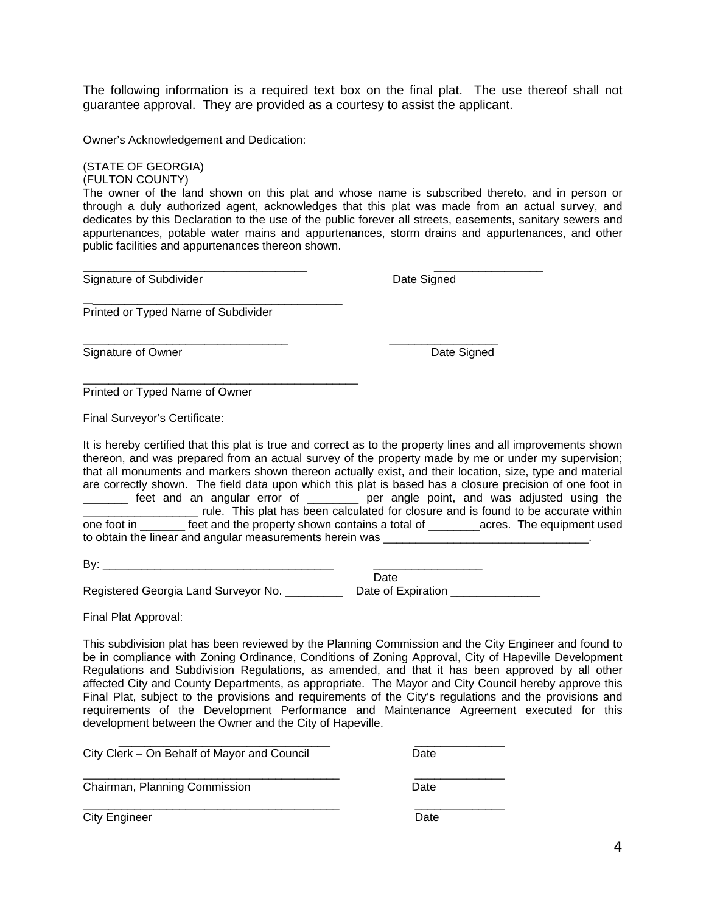The following information is a required text box on the final plat. The use thereof shall not guarantee approval. They are provided as a courtesy to assist the applicant.

Owner's Acknowledgement and Dedication:

public facilities and appurtenances thereon shown.

\_\_\_\_\_\_\_\_\_\_\_\_\_\_\_\_\_\_\_\_\_\_\_\_\_\_\_\_\_\_\_\_\_\_\_\_\_\_\_\_\_\_

\_\_\_\_\_\_\_\_\_\_\_\_\_\_\_\_\_\_\_\_\_\_\_\_\_\_\_\_\_\_\_\_\_\_\_\_\_\_\_\_\_\_\_

(STATE OF GEORGIA) (FULTON COUNTY) The owner of the land shown on this plat and whose name is subscribed thereto, and in person or through a duly authorized agent, acknowledges that this plat was made from an actual survey, and dedicates by this Declaration to the use of the public forever all streets, easements, sanitary sewers and appurtenances, potable water mains and appurtenances, storm drains and appurtenances, and other

\_\_\_\_\_\_\_\_\_\_\_\_\_\_\_\_\_\_\_\_\_\_\_\_\_\_\_\_\_\_\_\_ \_\_\_\_\_\_\_\_\_\_\_\_\_\_\_\_\_

Signature of Subdivider **Date Signed** Date Signed

\_\_\_\_\_\_\_\_\_\_\_\_\_\_\_\_\_\_\_\_\_\_\_\_\_\_\_\_\_\_\_\_\_\_\_ \_\_\_\_\_\_\_\_\_\_\_\_\_\_\_\_\_

Printed or Typed Name of Subdivider

Signature of Owner Date Signed Date Signed

Printed or Typed Name of Owner

Final Surveyor's Certificate:

It is hereby certified that this plat is true and correct as to the property lines and all improvements shown thereon, and was prepared from an actual survey of the property made by me or under my supervision; that all monuments and markers shown thereon actually exist, and their location, size, type and material are correctly shown. The field data upon which this plat is based has a closure precision of one foot in \_\_\_\_\_\_\_ feet and an angular error of \_\_\_\_\_\_\_\_ per angle point, and was adjusted using the \_\_\_\_\_\_\_\_\_\_\_\_\_\_\_\_\_\_ rule. This plat has been calculated for closure and is found to be accurate within one foot in \_\_\_\_\_\_\_ feet and the property shown contains a total of \_\_\_\_\_\_\_\_acres. The equipment used to obtain the linear and angular measurements herein was \_\_\_\_\_\_\_\_\_\_\_\_\_\_\_\_\_\_\_\_\_\_\_\_

By: \_\_\_\_\_\_\_\_\_\_\_\_\_\_\_\_\_\_\_\_\_\_\_\_\_\_\_\_\_\_\_\_\_\_\_\_ \_\_\_\_\_\_\_\_\_\_\_\_\_\_\_\_\_ **Date Date Date Date** 

\_\_\_\_\_\_\_\_\_\_\_\_\_\_\_\_\_\_\_\_\_\_\_\_\_\_\_\_\_\_\_\_\_\_\_\_\_\_\_\_ \_\_\_\_\_\_\_\_\_\_\_\_\_\_

 $\frac{1}{2}$  ,  $\frac{1}{2}$  ,  $\frac{1}{2}$  ,  $\frac{1}{2}$  ,  $\frac{1}{2}$  ,  $\frac{1}{2}$  ,  $\frac{1}{2}$  ,  $\frac{1}{2}$  ,  $\frac{1}{2}$  ,  $\frac{1}{2}$  ,  $\frac{1}{2}$  ,  $\frac{1}{2}$  ,  $\frac{1}{2}$  ,  $\frac{1}{2}$  ,  $\frac{1}{2}$  ,  $\frac{1}{2}$  ,  $\frac{1}{2}$  ,  $\frac{1}{2}$  ,  $\frac{1$ 

Registered Georgia Land Surveyor No. \_\_\_\_\_\_\_\_\_\_\_\_\_\_ Date of Expiration \_\_\_\_\_\_\_\_\_\_\_\_\_\_

Final Plat Approval:

This subdivision plat has been reviewed by the Planning Commission and the City Engineer and found to be in compliance with Zoning Ordinance, Conditions of Zoning Approval, City of Hapeville Development Regulations and Subdivision Regulations, as amended, and that it has been approved by all other affected City and County Departments, as appropriate. The Mayor and City Council hereby approve this Final Plat, subject to the provisions and requirements of the City's regulations and the provisions and requirements of the Development Performance and Maintenance Agreement executed for this development between the Owner and the City of Hapeville.

City Clerk – On Behalf of Mayor and Council Date

\_\_\_\_\_\_\_\_\_\_\_\_\_\_\_\_\_\_\_\_\_\_\_\_\_\_\_\_\_\_\_\_\_\_\_\_\_\_\_\_ \_\_\_\_\_\_\_\_\_\_\_\_\_\_ Chairman, Planning Commission **Date** 

City Engineer **Date**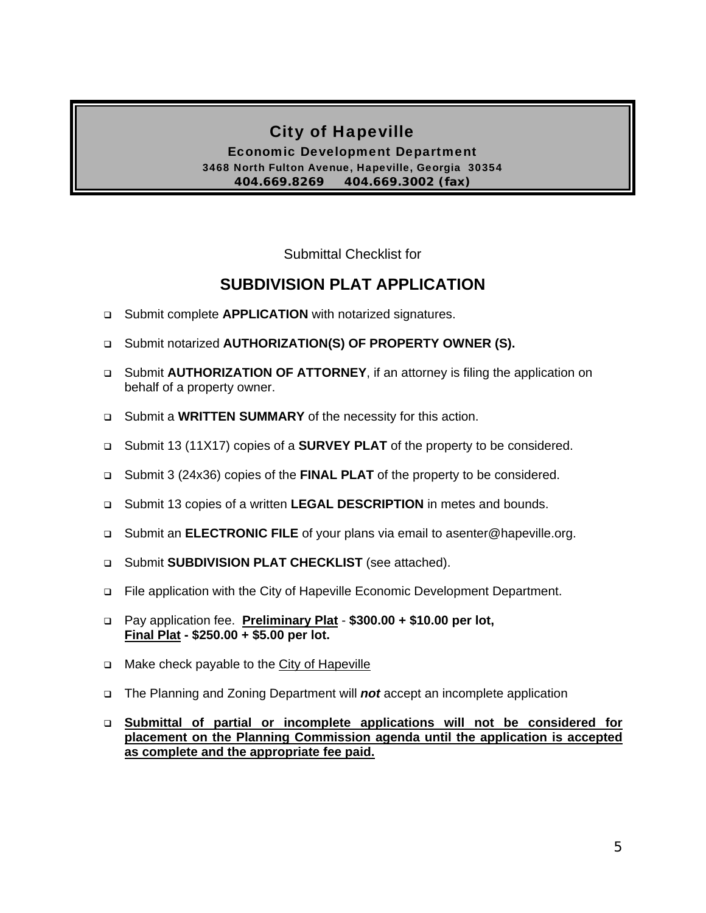# City of Hapeville

Economic Development Department 3468 North Fulton Avenue, Hapeville, Georgia 30354 **404.669.8269 404.669.3002 (fax)** 

Submittal Checklist for

# **SUBDIVISION PLAT APPLICATION**

- Submit complete **APPLICATION** with notarized signatures.
- Submit notarized **AUTHORIZATION(S) OF PROPERTY OWNER (S).**
- Submit **AUTHORIZATION OF ATTORNEY**, if an attorney is filing the application on behalf of a property owner.
- Submit a **WRITTEN SUMMARY** of the necessity for this action.
- Submit 13 (11X17) copies of a **SURVEY PLAT** of the property to be considered.
- Submit 3 (24x36) copies of the **FINAL PLAT** of the property to be considered.
- Submit 13 copies of a written **LEGAL DESCRIPTION** in metes and bounds.
- Submit an **ELECTRONIC FILE** of your plans via email to asenter@hapeville.org.
- Submit **SUBDIVISION PLAT CHECKLIST** (see attached).
- File application with the City of Hapeville Economic Development Department.
- Pay application fee. **Preliminary Plat \$300.00 + \$10.00 per lot, Final Plat - \$250.00 + \$5.00 per lot.**
- Make check payable to the City of Hapeville
- The Planning and Zoning Department will *not* accept an incomplete application
- **Submittal of partial or incomplete applications will not be considered for placement on the Planning Commission agenda until the application is accepted as complete and the appropriate fee paid.**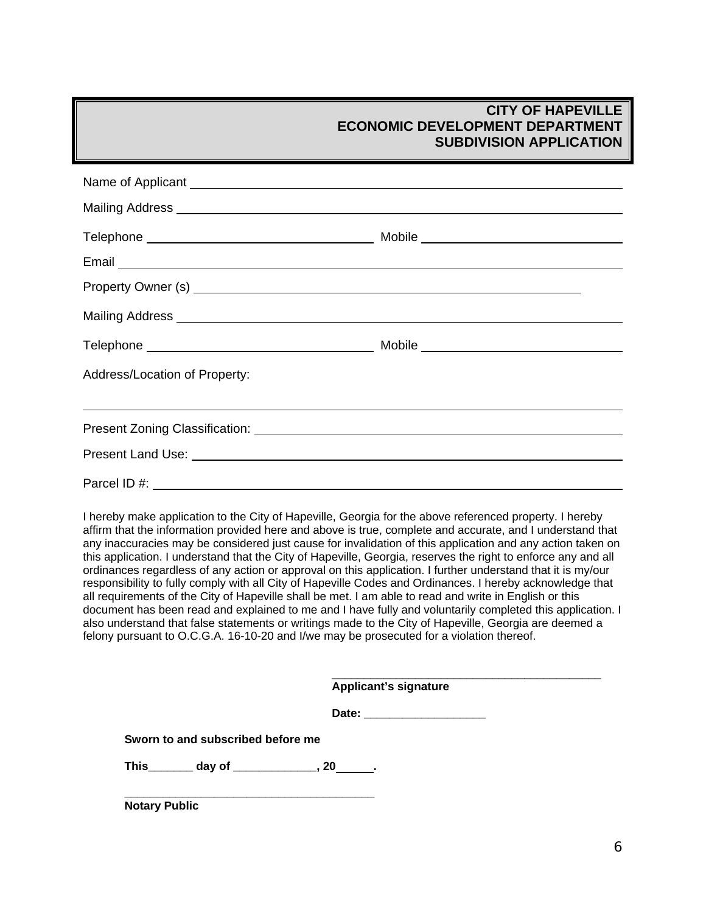| Mailing Address <b>Mailing Address Mailing Address Mailing Address Mailing Address</b>                                                                                                                                               |  |  |  |  |
|--------------------------------------------------------------------------------------------------------------------------------------------------------------------------------------------------------------------------------------|--|--|--|--|
|                                                                                                                                                                                                                                      |  |  |  |  |
| Email Land Construction and Construction and Construction and Construction and Construction and Construction and Construction and Construction and Construction and Construction and Construction and Construction and Constru       |  |  |  |  |
|                                                                                                                                                                                                                                      |  |  |  |  |
| Mailing Address <b>Mailing Address Mailing Address Mailing Address Mailing Address</b>                                                                                                                                               |  |  |  |  |
|                                                                                                                                                                                                                                      |  |  |  |  |
| Address/Location of Property:                                                                                                                                                                                                        |  |  |  |  |
|                                                                                                                                                                                                                                      |  |  |  |  |
|                                                                                                                                                                                                                                      |  |  |  |  |
| Present Land Use: <u>example and the set of the set of the set of the set of the set of the set of the set of the set of the set of the set of the set of the set of the set of the set of the set of the set of the set of the </u> |  |  |  |  |
| Parcel ID #:                                                                                                                                                                                                                         |  |  |  |  |

I hereby make application to the City of Hapeville, Georgia for the above referenced property. I hereby affirm that the information provided here and above is true, complete and accurate, and I understand that any inaccuracies may be considered just cause for invalidation of this application and any action taken on this application. I understand that the City of Hapeville, Georgia, reserves the right to enforce any and all ordinances regardless of any action or approval on this application. I further understand that it is my/our responsibility to fully comply with all City of Hapeville Codes and Ordinances. I hereby acknowledge that all requirements of the City of Hapeville shall be met. I am able to read and write in English or this document has been read and explained to me and I have fully and voluntarily completed this application. I also understand that false statements or writings made to the City of Hapeville, Georgia are deemed a felony pursuant to O.C.G.A. 16-10-20 and I/we may be prosecuted for a violation thereof.

|                                                  | <b>Applicant's signature</b> |  |
|--------------------------------------------------|------------------------------|--|
|                                                  | Date: _____________________  |  |
| Sworn to and subscribed before me                |                              |  |
| This ________ day of _______________, 20_______. |                              |  |
| <b>Notary Public</b>                             |                              |  |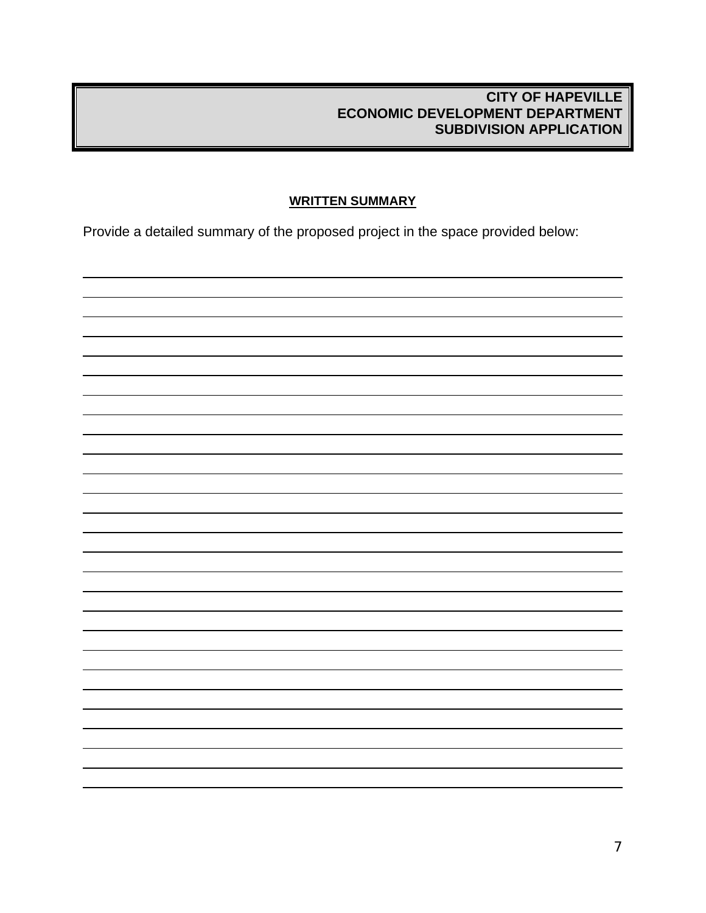# **WRITTEN SUMMARY**

Provide a detailed summary of the proposed project in the space provided below:

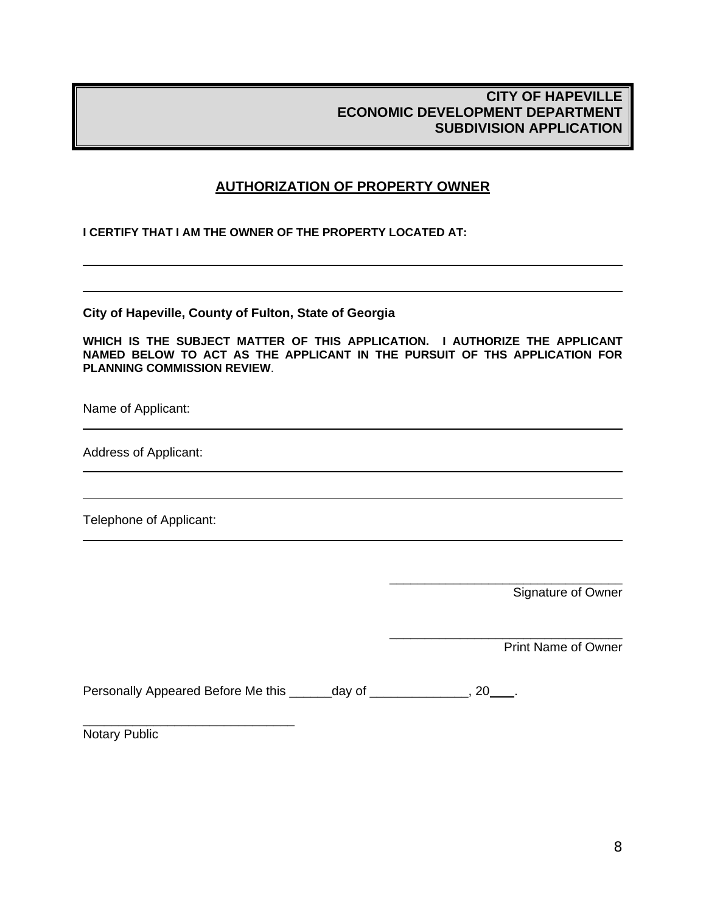# **AUTHORIZATION OF PROPERTY OWNER**

**I CERTIFY THAT I AM THE OWNER OF THE PROPERTY LOCATED AT:** 

**City of Hapeville, County of Fulton, State of Georgia** 

**WHICH IS THE SUBJECT MATTER OF THIS APPLICATION. I AUTHORIZE THE APPLICANT NAMED BELOW TO ACT AS THE APPLICANT IN THE PURSUIT OF THS APPLICATION FOR PLANNING COMMISSION REVIEW**.

Name of Applicant:

 $\overline{a}$ 

 $\overline{a}$ 

 $\overline{a}$ 

 $\overline{a}$ 

Address of Applicant:

Telephone of Applicant:

Signature of Owner

\_\_\_\_\_\_\_\_\_\_\_\_\_\_\_\_\_\_\_\_\_\_\_\_\_\_\_\_\_\_\_\_\_

\_\_\_\_\_\_\_\_\_\_\_\_\_\_\_\_\_\_\_\_\_\_\_\_\_\_\_\_\_\_\_\_\_

Print Name of Owner

Personally Appeared Before Me this \_\_\_\_\_\_day of \_\_\_\_\_\_\_\_\_\_\_\_\_, 20\_\_\_\_.

Notary Public

\_\_\_\_\_\_\_\_\_\_\_\_\_\_\_\_\_\_\_\_\_\_\_\_\_\_\_\_\_\_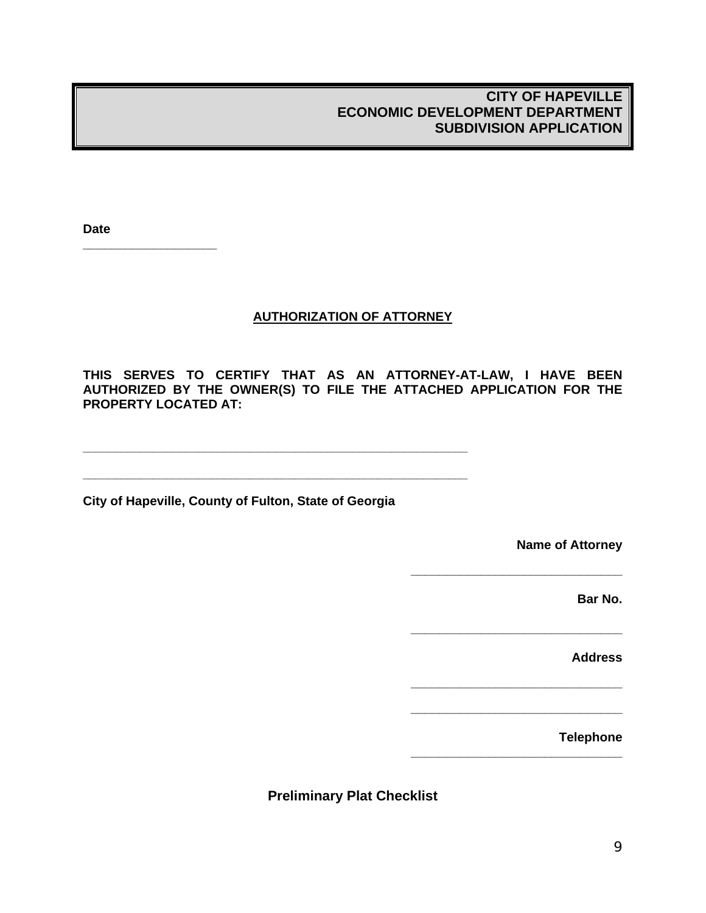**Date** 

**\_\_\_\_\_\_\_\_\_\_\_\_\_\_\_\_\_\_\_**

# **AUTHORIZATION OF ATTORNEY**

**THIS SERVES TO CERTIFY THAT AS AN ATTORNEY-AT-LAW, I HAVE BEEN AUTHORIZED BY THE OWNER(S) TO FILE THE ATTACHED APPLICATION FOR THE PROPERTY LOCATED AT:** 

**City of Hapeville, County of Fulton, State of Georgia** 

**\_\_\_\_\_\_\_\_\_\_\_\_\_\_\_\_\_\_\_\_\_\_\_\_\_\_\_\_\_\_\_\_\_\_\_\_\_\_\_\_\_\_\_\_\_\_\_\_\_\_\_\_\_\_\_\_\_\_\_\_** 

**\_\_\_\_\_\_\_\_\_\_\_\_\_\_\_\_\_\_\_\_\_\_\_\_\_\_\_\_\_\_\_\_\_\_\_\_\_\_\_\_\_\_\_\_\_\_\_\_\_\_\_\_\_\_\_\_\_\_\_\_** 

**Name of Attorney** 

**\_\_\_\_\_\_\_\_\_\_\_\_\_\_\_\_\_\_\_\_\_\_\_\_\_\_\_\_\_\_** 

**\_\_\_\_\_\_\_\_\_\_\_\_\_\_\_\_\_\_\_\_\_\_\_\_\_\_\_\_\_\_** 

**\_\_\_\_\_\_\_\_\_\_\_\_\_\_\_\_\_\_\_\_\_\_\_\_\_\_\_\_\_\_** 

**\_\_\_\_\_\_\_\_\_\_\_\_\_\_\_\_\_\_\_\_\_\_\_\_\_\_\_\_\_\_** 

**\_\_\_\_\_\_\_\_\_\_\_\_\_\_\_\_\_\_\_\_\_\_\_\_\_\_\_\_\_\_** 

**Bar No.** 

**Address** 

 **Telephone** 

**Preliminary Plat Checklist**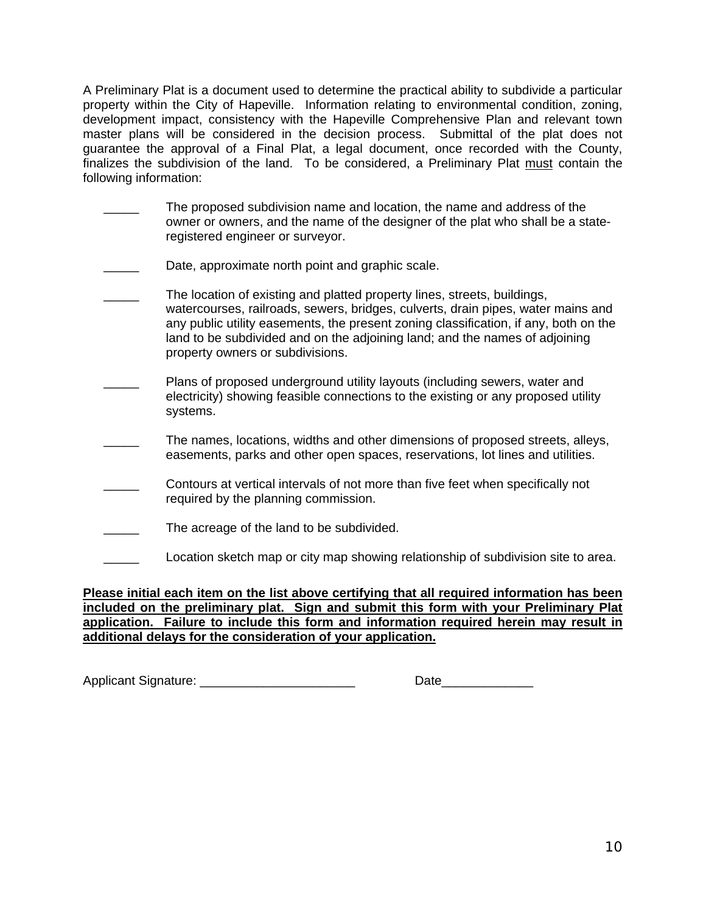A Preliminary Plat is a document used to determine the practical ability to subdivide a particular property within the City of Hapeville. Information relating to environmental condition, zoning, development impact, consistency with the Hapeville Comprehensive Plan and relevant town master plans will be considered in the decision process. Submittal of the plat does not guarantee the approval of a Final Plat, a legal document, once recorded with the County, finalizes the subdivision of the land. To be considered, a Preliminary Plat must contain the following information:

- \_\_\_\_\_ The proposed subdivision name and location, the name and address of the owner or owners, and the name of the designer of the plat who shall be a stateregistered engineer or surveyor.
- Date, approximate north point and graphic scale.
- The location of existing and platted property lines, streets, buildings, watercourses, railroads, sewers, bridges, culverts, drain pipes, water mains and any public utility easements, the present zoning classification, if any, both on the land to be subdivided and on the adjoining land; and the names of adjoining property owners or subdivisions.
- Plans of proposed underground utility layouts (including sewers, water and electricity) showing feasible connections to the existing or any proposed utility systems.
- \_\_\_\_\_ The names, locations, widths and other dimensions of proposed streets, alleys, easements, parks and other open spaces, reservations, lot lines and utilities.
- \_\_\_\_\_ Contours at vertical intervals of not more than five feet when specifically not required by the planning commission.
- The acreage of the land to be subdivided.
- Location sketch map or city map showing relationship of subdivision site to area.

### **Please initial each item on the list above certifying that all required information has been included on the preliminary plat. Sign and submit this form with your Preliminary Plat application. Failure to include this form and information required herein may result in additional delays for the consideration of your application.**

Applicant Signature: **Example 20** 

| י שדביי<br>ναισ |  |
|-----------------|--|
|-----------------|--|